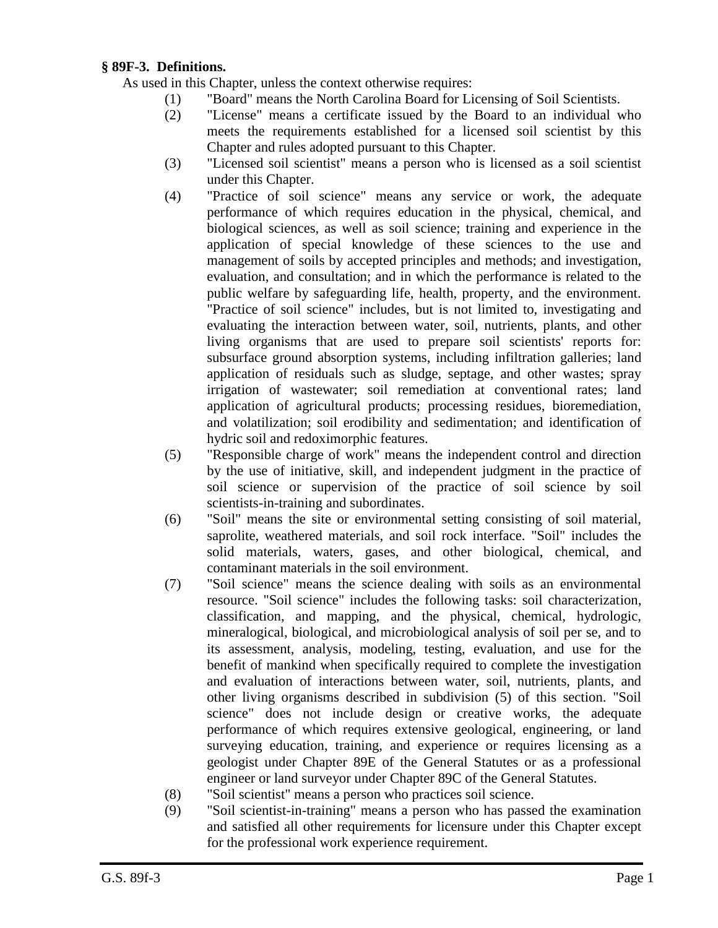## **§ 89F-3. Definitions.**

As used in this Chapter, unless the context otherwise requires:

- (1) "Board" means the North Carolina Board for Licensing of Soil Scientists.
- (2) "License" means a certificate issued by the Board to an individual who meets the requirements established for a licensed soil scientist by this Chapter and rules adopted pursuant to this Chapter.
- (3) "Licensed soil scientist" means a person who is licensed as a soil scientist under this Chapter.
- (4) "Practice of soil science" means any service or work, the adequate performance of which requires education in the physical, chemical, and biological sciences, as well as soil science; training and experience in the application of special knowledge of these sciences to the use and management of soils by accepted principles and methods; and investigation, evaluation, and consultation; and in which the performance is related to the public welfare by safeguarding life, health, property, and the environment. "Practice of soil science" includes, but is not limited to, investigating and evaluating the interaction between water, soil, nutrients, plants, and other living organisms that are used to prepare soil scientists' reports for: subsurface ground absorption systems, including infiltration galleries; land application of residuals such as sludge, septage, and other wastes; spray irrigation of wastewater; soil remediation at conventional rates; land application of agricultural products; processing residues, bioremediation, and volatilization; soil erodibility and sedimentation; and identification of hydric soil and redoximorphic features.
- (5) "Responsible charge of work" means the independent control and direction by the use of initiative, skill, and independent judgment in the practice of soil science or supervision of the practice of soil science by soil scientists-in-training and subordinates.
- (6) "Soil" means the site or environmental setting consisting of soil material, saprolite, weathered materials, and soil rock interface. "Soil" includes the solid materials, waters, gases, and other biological, chemical, and contaminant materials in the soil environment.
- (7) "Soil science" means the science dealing with soils as an environmental resource. "Soil science" includes the following tasks: soil characterization, classification, and mapping, and the physical, chemical, hydrologic, mineralogical, biological, and microbiological analysis of soil per se, and to its assessment, analysis, modeling, testing, evaluation, and use for the benefit of mankind when specifically required to complete the investigation and evaluation of interactions between water, soil, nutrients, plants, and other living organisms described in subdivision (5) of this section. "Soil science" does not include design or creative works, the adequate performance of which requires extensive geological, engineering, or land surveying education, training, and experience or requires licensing as a geologist under Chapter 89E of the General Statutes or as a professional engineer or land surveyor under Chapter 89C of the General Statutes.
- (8) "Soil scientist" means a person who practices soil science.
- (9) "Soil scientist-in-training" means a person who has passed the examination and satisfied all other requirements for licensure under this Chapter except for the professional work experience requirement.